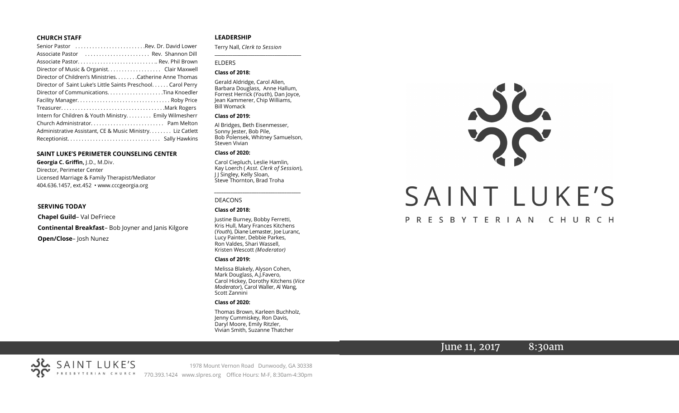#### **CHURCH STAFF**

| Senior Pastor Rev. Dr. David Lower                            |  |
|---------------------------------------------------------------|--|
| Associate Pastor  Rev. Shannon Dill                           |  |
|                                                               |  |
| Director of Music & Organist. Clair Maxwell                   |  |
| Director of Children's Ministries. Catherine Anne Thomas      |  |
| Director of Saint Luke's Little Saints Preschool. Carol Perry |  |
|                                                               |  |
|                                                               |  |
|                                                               |  |
| Intern for Children & Youth Ministry Emily Wilmesherr         |  |
|                                                               |  |
| Administrative Assistant, CE & Music Ministry Liz Catlett     |  |
|                                                               |  |
|                                                               |  |

#### **SAINT LUKE'S PERIMETER COUNSELING CENTER**

**Georgia C. Griffin,** J.D., M.Div. Director, Perimeter Center Licensed Marriage & Family Therapist/Mediator 404.636.1457, ext.452 • www.cccgeorgia.org

#### **SERVING TODAY**

**Chapel Guild**– Val DeFriece

**Continental Breakfast**– Bob Joyner and Janis Kilgore **Open/Close**– Josh Nunez

#### **LEADERSHIP**

Terry Nall, *Clerk to Session* 

#### ELDERS

#### **Class of 2018:**

Gerald Aldridge, Carol Allen, Barbara Douglass, Anne Hallum, Forrest Herrick (*Youth*), Dan Joyce, Jean Kammerer, Chip Williams, Bill Womack

**\_\_\_\_\_\_\_\_\_\_\_\_\_\_\_\_\_\_\_\_\_\_\_\_\_\_\_\_\_\_\_\_\_\_\_\_\_\_\_**

#### **Class of 2019:**

Al Bridges, Beth Eisenmesser, Sonny Jester, Bob Pile, Bob Polensek, Whitney Samuelson, Steven Vivian

#### **Class of 2020:**

Carol Ciepluch, Leslie Hamlin, Kay Loerch ( *Asst. Clerk of Session*), J J Singley, Kelly Sloan, Steve Thornton, Brad Troha

*\_\_\_\_\_\_\_\_\_\_\_\_\_\_\_\_\_\_\_\_\_\_\_\_\_\_\_\_\_\_\_\_\_\_\_\_\_*

#### DEACONS

#### **Class of 2018:**

Justine Burney, Bobby Ferretti, Kris Hull, Mary Frances Kitchens (*Youth*), Diane Lemaster, Joe Luranc, Lucy Painter, Debbie Parkes, Ron Valdes, Shari Wassell, Kristen Wescott *(Moderator)*

#### **Class of 2019:**

Melissa Blakely, Alyson Cohen, Mark Douglass, A.J.Favero, Carol Hickey, Dorothy Kitchens (*Vice Moderator*), Carol Waller, Al Wang, Scott Zannini

#### **Class of 2020:**

Thomas Brown, Karleen Buchholz, Jenny Cummiskey, Ron Davis, Daryl Moore, Emily Ritzler, Vivian Smith, Suzanne Thatcher



# June 11, 2017 8:30am



1978 Mount Vernon Road Dunwoody, GA 30338

770.393.1424 www.slpres.org Office Hours: M-F, 8:30am-4:30pm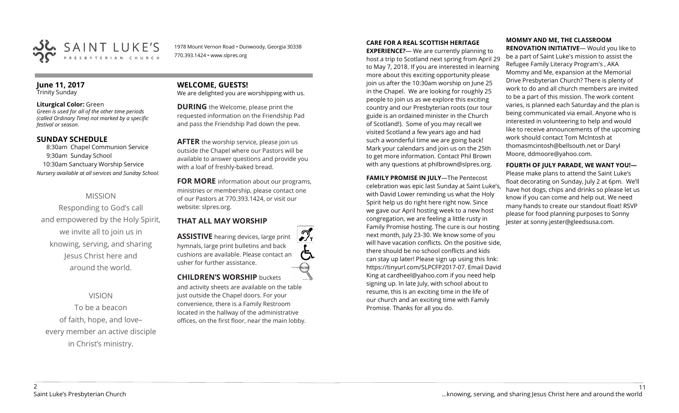

1978 Mount Vernon Road • Dunwoody, Georgia 30338 770.393.1424 • www.slpres.org

#### **June 11, 2017**  Trinity Sunday

#### **Liturgical Color:** Green

*Green is used for all of the other time periods (called Ordinary Time) not marked by a specific festival or season.* 

#### **SUNDAY SCHEDULE**

8:30am Chapel Communion Service 9:30am Sunday School 10:30am Sanctuary Worship Service *Nursery available at all services and Sunday School.*

## MISSION

Responding to God's call and empowered by the Holy Spirit, we invite all to join us in knowing, serving, and sharing Jesus Christ here and around the world.

# VISION

To be a beacon of faith, hope, and love– every member an active disciple in Christ's ministry.

# **WELCOME, GUESTS!**

We are delighted you are worshipping with us.

**DURING** the Welcome, please print the requested information on the Friendship Pad and pass the Friendship Pad down the pew.

**AFTER** the worship service, please join us outside the Chapel where our Pastors will be available to answer questions and provide you with a loaf of freshly-baked bread.

**FOR MORE** information about our programs, ministries or membership, please contact one of our Pastors at 770.393.1424, or visit our website: slpres.org.

### **THAT ALL MAY WORSHIP**

**ASSISTIVE** hearing devices, large print hymnals, large print bulletins and back cushions are available. Please contact an usher for further assistance. **CHILDREN'S WORSHIP** buckets

and activity sheets are available on the table just outside the Chapel doors. For your convenience, there is a Family Restroom located in the hallway of the administrative offices, on the first floor, near the main lobby.

## **CARE FOR A REAL SCOTTISH HERITAGE**

**EXPERIENCE?**— We are currently planning to host a trip to Scotland next spring from April 29 to May 7, 2018. If you are interested in learning more about this exciting opportunity please join us after the 10:30am worship on June 25 in the Chapel. We are looking for roughly 25 people to join us as we explore this exciting country and our Presbyterian roots (our tour guide is an ordained minister in the Church of Scotland!). Some of you may recall we visited Scotland a few years ago and had such a wonderful time we are going back! Mark your calendars and join us on the 25th to get more information. Contact Phil Brown with any questions at philbrown@slpres.org.

**FAMILY PROMISE IN JULY**—The Pentecost celebration was epic last Sunday at Saint Luke's, with David Lower reminding us what the Holy Spirit help us do right here right now. Since we gave our April hosting week to a new host congregation, we are feeling a little rusty in Family Promise hosting. The cure is our hosting next month, July 23-30. We know some of you will have vacation conflicts. On the positive side, there should be no school conflicts and kids can stay up later! Please sign up using this link: [https://tinyurl.com/SLPCFP2017](https://tinyurl.com/SLPCFP2017-07)-07. Email David King at cardheel@yahoo.com if you need help signing up. In late July, with school about to resume, this is an exciting time in the life of our church and an exciting time with Family Promise. Thanks for all you do.

# **MOMMY AND ME, THE CLASSROOM**

**RENOVATION INITIATIVE**— Would you like to be a part of Saint Luke's mission to assist the Refugee Family Literacy Program's , AKA Mommy and Me, expansion at the Memorial Drive Presbyterian Church? There is plenty of work to do and all church members are invited to be a part of this mission. The work content varies, is planned each Saturday and the plan is being communicated via email. Anyone who is interested in volunteering to help and would like to receive announcements of the upcoming work should contact Tom McIntosh at [thomasmcintosh@bellsouth.net](mailto:thomasmcintosh@bellsouth.net) or Daryl Moore, [ddmoore@yahoo.com.](mailto:ddmoore@yahoo.com)

#### **FOURTH OF JULY PARADE, WE WANT YOU!—**

Please make plans to attend the Saint Luke's float decorating on Sunday, July 2 at 6pm. We'll have hot dogs, chips and drinks so please let us know if you can come and help out. We need many hands to create our standout float! RSVP please for food planning purposes to Sonny Jester at sonny.jester@gleedsusa.com.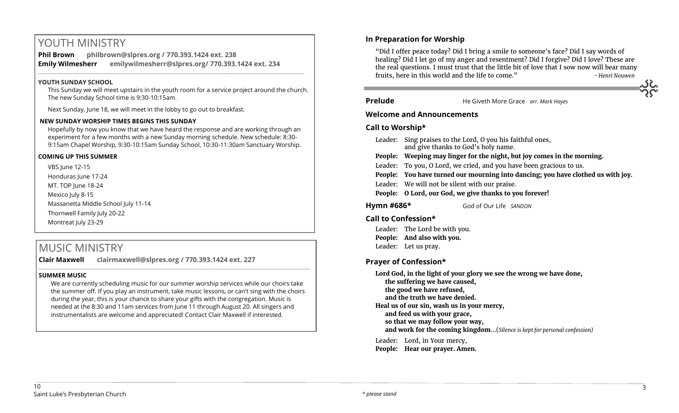# YOUTH MINISTRY

**Phil Brown philbrown@slpres.org / 770.393.1424 ext. 238 Emily Wilmesherr emilywilmesherr@slpres.org/ 770.393.1424 ext. 234**   $\_$  ,  $\_$  ,  $\_$  ,  $\_$  ,  $\_$  ,  $\_$  ,  $\_$  ,  $\_$  ,  $\_$  ,  $\_$  ,  $\_$  ,  $\_$  ,  $\_$  ,  $\_$  ,  $\_$  ,  $\_$  ,  $\_$  ,  $\_$  ,  $\_$  ,  $\_$ 

#### **YOUTH SUNDAY SCHOOL**

This Sunday we will meet upstairs in the youth room for a service project around the church. The new Sunday School time is 9:30-10:15am.

Next Sunday, June 18, we will meet in the lobby to go out to breakfast.

#### **NEW SUNDAY WORSHIP TIMES BEGINS THIS SUNDAY**

Hopefully by now you know that we have heard the response and are working through an experiment for a few months with a new Sunday morning schedule. New schedule: 8:30- 9:15am Chapel Worship, 9:30-10:15am Sunday School, 10:30-11:30am Sanctuary Worship.

#### **COMING UP THIS SUMMER**

VBS June 12-15 Honduras June 17-24 MT. TOP June 18-24 Mexico July 8-15 Massanetta Middle School July 11-14 Thornwell Family July 20-22 Montreat July 23-29

# MUSIC MINISTRY

**Clair Maxwell clairmaxwell@slpres.org / 770.393.1424 ext. 227** 

#### **SUMMER MUSIC**

We are currently scheduling music for our summer worship services while our choirs take the summer off. If you play an instrument, take music lessons, or can't sing with the choirs during the year, this is your chance to share your gifts with the congregation. Music is needed at the 8:30 and 11am services from June 11 through August 20. All singers and instrumentalists are welcome and appreciated! Contact Clair Maxwell if interested.

\_\_\_\_\_\_\_\_\_\_\_\_\_\_\_\_\_\_\_\_\_\_\_\_\_\_\_\_\_\_\_\_\_\_\_\_\_\_\_\_\_\_\_\_\_\_\_\_\_\_\_\_\_\_\_\_\_\_\_\_\_\_\_\_\_\_\_\_\_\_\_\_\_\_\_\_\_\_\_\_\_\_\_\_\_\_\_\_\_\_\_\_\_\_\_\_\_\_\_\_

# **In Preparation for Worship**

"Did I offer peace today? Did I bring a smile to someone's face? Did I say words of healing? Did I let go of my anger and resentment? Did I forgive? Did I love? These are the real questions. I must trust that the little bit of love that I sow now will bear many fruits, here in this world and the life to come." *- Henri Nouwen*

**Prelude** He Giveth More Grace *arr. Mark Hayes* 

### **Welcome and Announcements**

### **Call to Worship\***

|                                      | Leader: Sing praises to the Lord, O you his faithful ones,<br>and give thanks to God's holy name. |  |
|--------------------------------------|---------------------------------------------------------------------------------------------------|--|
|                                      | People: Weeping may linger for the night, but joy comes in the morning.                           |  |
|                                      | Leader: To you, O Lord, we cried, and you have been gracious to us.                               |  |
|                                      | People: You have turned our mourning into dancing; you have clothed us with joy.                  |  |
|                                      | Leader: We will not be silent with our praise.                                                    |  |
|                                      | People: O Lord, our God, we give thanks to you forever!                                           |  |
| Hymn #686*<br>God of Our Life SANDON |                                                                                                   |  |

# **Call to Confession\***

Leader: The Lord be with you. **People: And also with you.** Leader: Let us pray.

# **Prayer of Confession\***

**Lord God, in the light of your glory we see the wrong we have done, the suffering we have caused, the good we have refused, and the truth we have denied. Heal us of our sin, wash us in your mercy, and feed us with your grace, so that we may follow your way, and work for the coming kingdom**...(*Silence is kept for personal confession)*  Leader: Lord, in Your mercy,

**People: Hear our prayer. Amen.**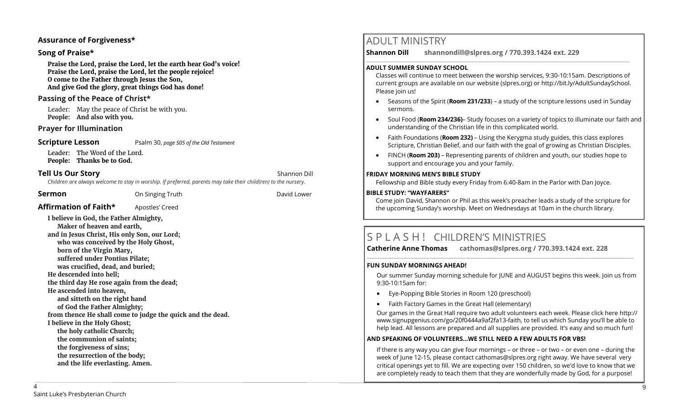### **Assurance of Forgiveness\***

## **Song of Praise\***

**Praise the Lord, praise the Lord, let the earth hear God's voice! Praise the Lord, praise the Lord, let the people rejoice! O come to the Father through Jesus the Son, And give God the glory, great things God has done!** 

# **Passing of the Peace of Christ\***

Leader: May the peace of Christ be with you. **People: And also with you.**

## **Prayer for Illumination**

**Scripture Lesson** Psalm 30, *page 505 of the Old Testament* 

Leader: The Word of the Lord. **People: Thanks be to God.**

# **Tell Us Our Story Shannon Dill Shannon Dill Shannon Dill**

*Children are always welcome to stay in worship. If preferred, parents may take their child(ren) to the nursery.*

| Sermon |
|--------|
|        |

**Series On Singing Truth Communist Communist Communist Communist Communist Communist Communist Communist Communist Communist Communist Communist Communist Communist Communist Communist Communist Communist Communist Communi** 

# Affirmation of Faith\* Apostles' Creed

**I believe in God, the Father Almighty, Maker of heaven and earth, and in Jesus Christ, His only Son, our Lord; who was conceived by the Holy Ghost, born of the Virgin Mary, suffered under Pontius Pilate; was crucified, dead, and buried; He descended into hell; the third day He rose again from the dead; He ascended into heaven, and sitteth on the right hand of God the Father Almighty; from thence He shall come to judge the quick and the dead. I believe in the Holy Ghost; the holy catholic Church; the communion of saints; the forgiveness of sins; the resurrection of the body; and the life everlasting. Amen.**

# ADULT MINISTRY

**Shannon Dill shannondill@slpres.org / 770.393.1424 ext. 229**   $\_$  ,  $\_$  ,  $\_$  ,  $\_$  ,  $\_$  ,  $\_$  ,  $\_$  ,  $\_$  ,  $\_$  ,  $\_$  ,  $\_$  ,  $\_$  ,  $\_$  ,  $\_$  ,  $\_$  ,  $\_$  ,  $\_$  ,  $\_$  ,  $\_$  ,  $\_$ 

#### **ADULT SUMMER SUNDAY SCHOOL**

Classes will continue to meet between the worship services, 9:30-10:15am. Descriptions of current groups are available on our website (slpres.org) or http://bit.ly/AdultSundaySchool. Please join us!

- Seasons of the Spirit (**Room 231/233**) a study of the scripture lessons used in Sunday sermons.
- Soul Food (**Room 234/236)** Study focuses on a variety of topics to illuminate our faith and understanding of the Christian life in this complicated world.
- Faith Foundations (**Room 232)**  Using the Kerygma study guides, this class explores Scripture, Christian Belief, and our faith with the goal of growing as Christian Disciples.
- FINCH (**Room 203)** Representing parents of children and youth, our studies hope to support and encourage you and your family.

#### **FRIDAY MORNING MEN'S BIBLE STUDY**

Fellowship and Bible study every Friday from 6:40-8am in the Parlor with Dan Joyce.

### **BIBLE STUDY: "WAYFARERS"**

Come join David, Shannon or Phil as this week's preacher leads a study of the scripture for the upcoming Sunday's worship. Meet on Wednesdays at 10am in the church library.

# S P L A S H ! CHILDREN'S MINISTRIES

**Catherine Anne Thomas cathomas@slpres.org / 770.393.1424 ext. 228 \_\_\_\_\_\_\_\_\_\_\_\_\_\_\_\_\_\_\_\_\_\_\_\_\_\_\_\_\_\_\_\_\_\_\_\_\_\_\_\_\_\_\_\_\_\_\_\_\_\_\_\_\_\_\_\_\_\_\_\_\_\_\_\_\_\_\_\_\_\_\_\_\_\_\_\_\_\_\_\_\_\_\_\_\_\_\_\_\_\_\_\_\_\_\_\_\_\_\_\_\_\_\_\_\_\_\_** 

### **FUN SUNDAY MORNINGS AHEAD!**

Our summer Sunday morning schedule for JUNE and AUGUST begins this week. Join us from 9:30-10:15am for:

- Eye-Popping Bible Stories in Room 120 (preschool)
- Faith Factory Games in the Great Hall (elementary)

Our games in the Great Hall require two adult volunteers each week. Please click here [http://](http://www.signupgenius.com/go/20f0444a9af2fa13-faith) [www.signupgenius.com/go/20f0444a9af2fa13](http://www.signupgenius.com/go/20f0444a9af2fa13-faith)-faith, to tell us which Sunday you'll be able to help lead. All lessons are prepared and all supplies are provided. It's easy and so much fun!

### **AND SPEAKING OF VOLUNTEERS…WE STILL NEED A FEW ADULTS FOR VBS!**

If there is any way you can give four mornings – or three – or two – or even one – during the week of June 12-15, please contact [cathomas@slpres.org](mailto:cathomas@slpres.org) right away. We have several very critical openings yet to fill. We are expecting over 150 children, so we'd love to know that we are completely ready to teach them that they are wonderfully made by God, for a purpose!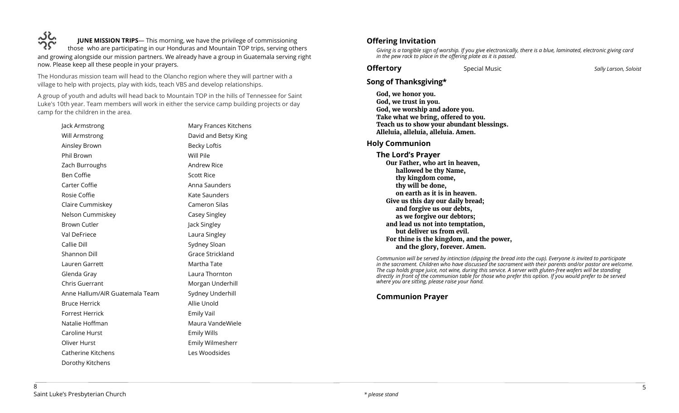ぶし **JUNE MISSION TRIPS**— This morning, we have the privilege of commissioning ふひ those who are participating in our Honduras and Mountain TOP trips, serving others and growing alongside our mission partners. We already have a group in Guatemala serving right now. Please keep all these people in your prayers.

The Honduras mission team will head to the Olancho region where they will partner with a village to help with projects, play with kids, teach VBS and develop relationships.

A group of youth and adults will head back to Mountain TOP in the hills of Tennessee for Saint Luke's 10th year. Team members will work in either the service camp building projects or day camp for the children in the area.

| Jack Armstrong                 | Mary Frances Kitchens |
|--------------------------------|-----------------------|
| Will Armstrong                 | David and Betsy King  |
| Ainsley Brown                  | <b>Becky Loftis</b>   |
| Phil Brown                     | Will Pile             |
| Zach Burroughs                 | Andrew Rice           |
| Ben Coffie                     | <b>Scott Rice</b>     |
| Carter Coffie                  | Anna Saunders         |
| Rosie Coffie                   | Kate Saunders         |
| Claire Cummiskey               | Cameron Silas         |
| Nelson Cummiskey               | Casey Singley         |
| Brown Cutler                   | Jack Singley          |
| Val DeFriece                   | Laura Singley         |
| Callie Dill                    | Sydney Sloan          |
| Shannon Dill                   | Grace Strickland      |
| Lauren Garrett                 | Martha Tate           |
| Glenda Gray                    | Laura Thornton        |
| Chris Guerrant                 | Morgan Underhill      |
| Anne Hallum/AIR Guatemala Team | Sydney Underhill      |
| Bruce Herrick                  | Allie Unold           |
| Forrest Herrick                | <b>Emily Vail</b>     |
| Natalie Hoffman                | Maura VandeWiele      |
| Caroline Hurst                 | <b>Emily Wills</b>    |
| Oliver Hurst                   | Emily Wilmesherr      |
| Catherine Kitchens             | Les Woodsides         |
| Dorothy Kitchens               |                       |

# **Offering Invitation**

*Giving is a tangible sign of worship. If you give electronically, there is a blue, laminated, electronic giving card in the pew rack to place in the offering plate as it is passed.*

# **Offertory** Special Music *Sally Larson, Soloist Sally Larson, Soloist*

# **Song of Thanksgiving\***

**God, we honor you. God, we trust in you. God, we worship and adore you. Take what we bring, offered to you. Teach us to show your abundant blessings. Alleluia, alleluia, alleluia. Amen.** 

# **Holy Communion**

**The Lord's Prayer Our Father, who art in heaven, hallowed be thy Name, thy kingdom come, thy will be done, on earth as it is in heaven. Give us this day our daily bread; and forgive us our debts, as we forgive our debtors; and lead us not into temptation, but deliver us from evil. For thine is the kingdom, and the power, and the glory, forever. Amen.**

*Communion will be served by intinction (dipping the bread into the cup). Everyone is invited to participate in the sacrament. Children who have discussed the sacrament with their parents and/or pastor are welcome. The cup holds grape juice, not wine, during this service. A server with gluten-free wafers will be standing directly in front of the communion table for those who prefer this option. If you would prefer to be served where you are sitting, please raise your hand.* 

# **Communion Prayer**